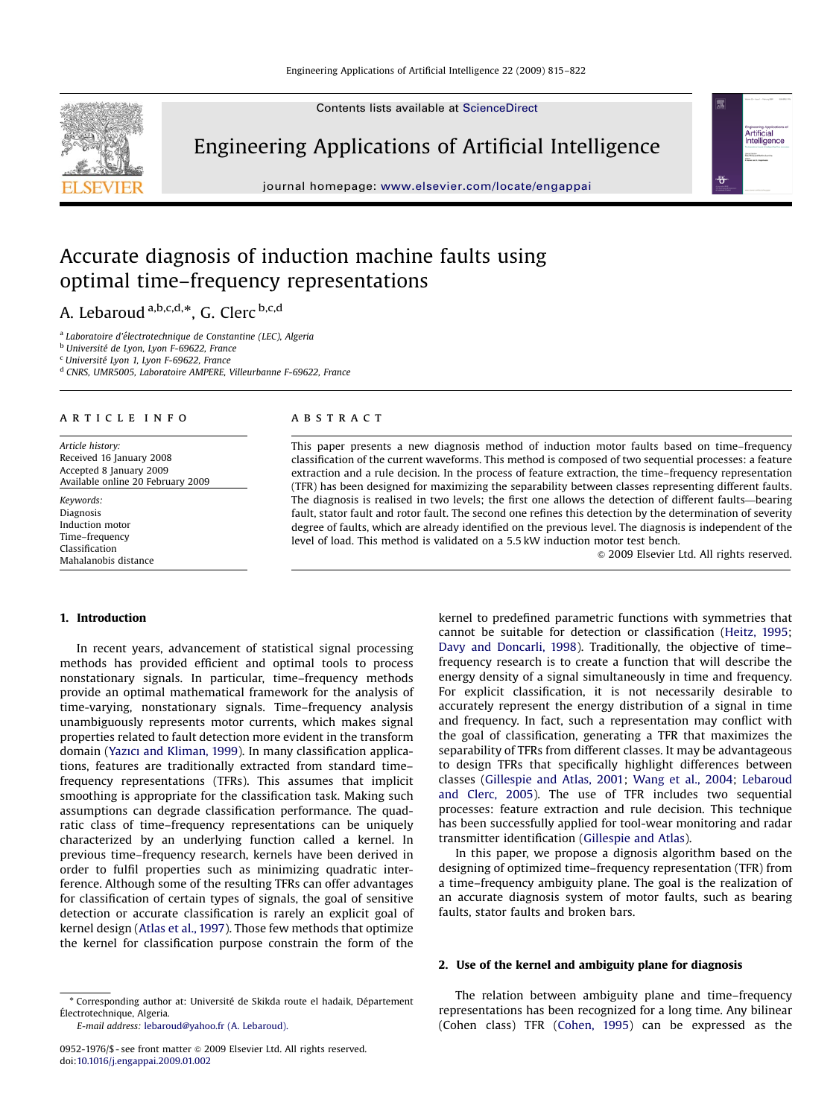Contents lists available at [ScienceDirect](www.sciencedirect.com/science/journal/eaai)



Engineering Applications of Artificial Intelligence

journal homepage: <www.elsevier.com/locate/engappai>



# Accurate diagnosis of induction machine faults using optimal time–frequency representations

A. Lebaroud <sup>a,b,c,d,\*</sup>, G. Clerc <sup>b,c,d</sup>

<sup>a</sup> Laboratoire d'électrotechnique de Constantine (LEC), Algeria

<sup>b</sup> Université de Lyon, Lyon F-69622, France

<sup>c</sup> Université Lyon 1, Lyon F-69622, France

<sup>d</sup> CNRS, UMR5005, Laboratoire AMPERE, Villeurbanne F-69622, France

#### article info

Article history: Received 16 January 2008 Accepted 8 January 2009 Available online 20 February 2009

Keywords: Diagnosis Induction motor Time–frequency Classification Mahalanobis distance

# **ABSTRACT**

This paper presents a new diagnosis method of induction motor faults based on time–frequency classification of the current waveforms. This method is composed of two sequential processes: a feature extraction and a rule decision. In the process of feature extraction, the time–frequency representation (TFR) has been designed for maximizing the separability between classes representing different faults. The diagnosis is realised in two levels; the first one allows the detection of different faults—bearing fault, stator fault and rotor fault. The second one refines this detection by the determination of severity degree of faults, which are already identified on the previous level. The diagnosis is independent of the level of load. This method is validated on a 5.5 kW induction motor test bench.

 $\circ$  2009 Elsevier Ltd. All rights reserved.

#### 1. Introduction

In recent years, advancement of statistical signal processing methods has provided efficient and optimal tools to process nonstationary signals. In particular, time–frequency methods provide an optimal mathematical framework for the analysis of time-varying, nonstationary signals. Time–frequency analysis unambiguously represents motor currents, which makes signal properties related to fault detection more evident in the transform domain [\(Yazıcı and Kliman, 1999\)](#page--1-0). In many classification applications, features are traditionally extracted from standard time– frequency representations (TFRs). This assumes that implicit smoothing is appropriate for the classification task. Making such assumptions can degrade classification performance. The quadratic class of time–frequency representations can be uniquely characterized by an underlying function called a kernel. In previous time–frequency research, kernels have been derived in order to fulfil properties such as minimizing quadratic interference. Although some of the resulting TFRs can offer advantages for classification of certain types of signals, the goal of sensitive detection or accurate classification is rarely an explicit goal of kernel design ([Atlas et al., 1997\)](#page--1-0). Those few methods that optimize the kernel for classification purpose constrain the form of the

E-mail address: [lebaroud@yahoo.fr \(A. Lebaroud\).](mailto:lebaroud@yahoo.fr)

kernel to predefined parametric functions with symmetries that cannot be suitable for detection or classification ([Heitz, 1995;](#page--1-0) [Davy and Doncarli, 1998\)](#page--1-0). Traditionally, the objective of time– frequency research is to create a function that will describe the energy density of a signal simultaneously in time and frequency. For explicit classification, it is not necessarily desirable to accurately represent the energy distribution of a signal in time and frequency. In fact, such a representation may conflict with the goal of classification, generating a TFR that maximizes the separability of TFRs from different classes. It may be advantageous to design TFRs that specifically highlight differences between classes ([Gillespie and Atlas, 2001](#page--1-0); [Wang et al., 2004](#page--1-0); [Lebaroud](#page--1-0) [and Clerc, 2005\)](#page--1-0). The use of TFR includes two sequential processes: feature extraction and rule decision. This technique has been successfully applied for tool-wear monitoring and radar transmitter identification ([Gillespie and Atlas](#page--1-0)).

In this paper, we propose a dignosis algorithm based on the designing of optimized time–frequency representation (TFR) from a time–frequency ambiguity plane. The goal is the realization of an accurate diagnosis system of motor faults, such as bearing faults, stator faults and broken bars.

### 2. Use of the kernel and ambiguity plane for diagnosis

The relation between ambiguity plane and time–frequency representations has been recognized for a long time. Any bilinear (Cohen class) TFR [\(Cohen, 1995\)](#page--1-0) can be expressed as the

<sup>\*</sup> Corresponding author at: Université de Skikda route el hadaik, Département Électrotechnique, Algeria.

<sup>0952-1976/\$ -</sup> see front matter  $\circ$  2009 Elsevier Ltd. All rights reserved. doi:[10.1016/j.engappai.2009.01.002](dx.doi.org/10.1016/j.engappai.2009.01.002)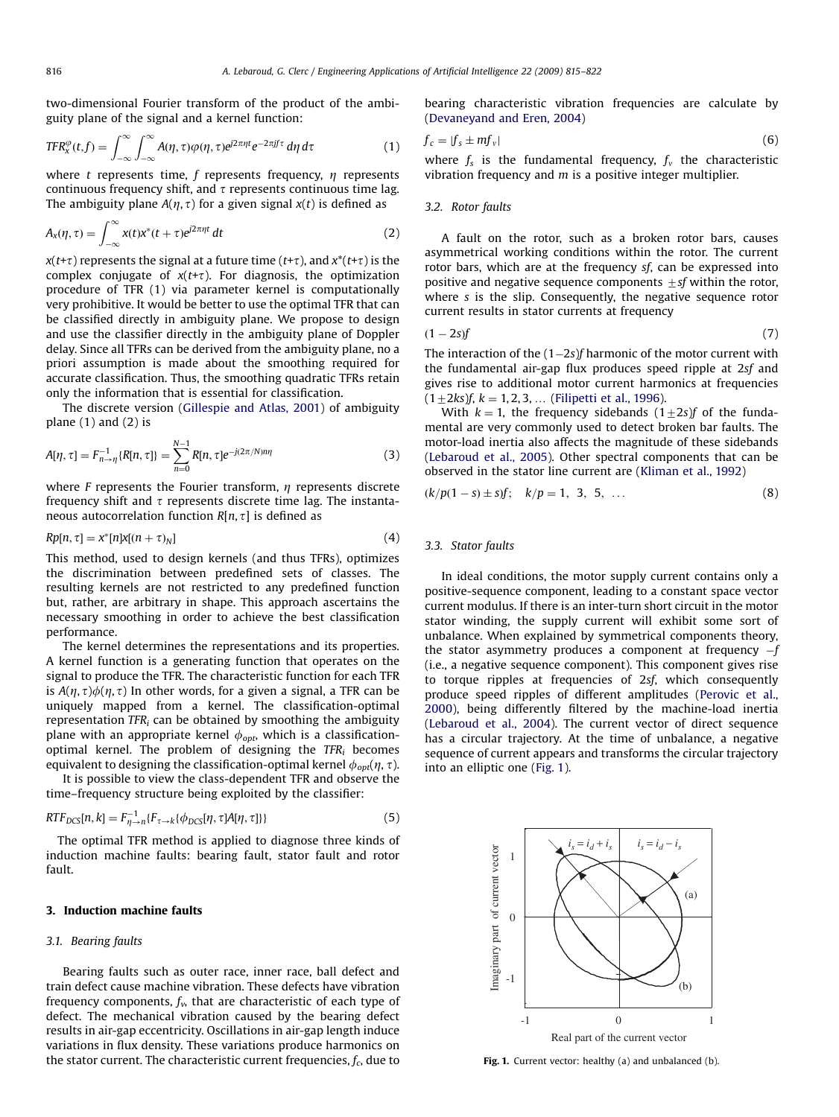two-dimensional Fourier transform of the product of the ambiguity plane of the signal and a kernel function:

$$
TFR_x^{\varphi}(t,f) = \int_{-\infty}^{\infty} \int_{-\infty}^{\infty} A(\eta,\tau)\varphi(\eta,\tau)e^{j2\pi\eta t}e^{-2\pi if\tau} d\eta d\tau
$$
 (1)

where t represents time, f represents frequency,  $\eta$  represents continuous frequency shift, and  $\tau$  represents continuous time lag. The ambiguity plane  $A(\eta, \tau)$  for a given signal  $x(t)$  is defined as

$$
A_x(\eta,\tau) = \int_{-\infty}^{\infty} x(t)x^*(t+\tau)e^{j2\pi\eta t} dt
$$
 (2)

 $x(t+\tau)$  represents the signal at a future time ( $t+\tau$ ), and  $x^*(t+\tau)$  is the complex conjugate of  $x(t+\tau)$ . For diagnosis, the optimization procedure of TFR (1) via parameter kernel is computationally very prohibitive. It would be better to use the optimal TFR that can be classified directly in ambiguity plane. We propose to design and use the classifier directly in the ambiguity plane of Doppler delay. Since all TFRs can be derived from the ambiguity plane, no a priori assumption is made about the smoothing required for accurate classification. Thus, the smoothing quadratic TFRs retain only the information that is essential for classification.

The discrete version ([Gillespie and Atlas, 2001\)](#page--1-0) of ambiguity plane  $(1)$  and  $(2)$  is

$$
A[\eta, \tau] = F_{n \to \eta}^{-1} \{R[n, \tau]\} = \sum_{n=0}^{N-1} R[n, \tau] e^{-j(2\pi/N)n\eta}
$$
 (3)

where  $F$  represents the Fourier transform,  $\eta$  represents discrete frequency shift and  $\tau$  represents discrete time lag. The instantaneous autocorrelation function  $R[n, \tau]$  is defined as

$$
Rp[n,\tau] = x^*[n]x[(n+\tau)_N] \tag{4}
$$

This method, used to design kernels (and thus TFRs), optimizes the discrimination between predefined sets of classes. The resulting kernels are not restricted to any predefined function but, rather, are arbitrary in shape. This approach ascertains the necessary smoothing in order to achieve the best classification performance.

The kernel determines the representations and its properties. A kernel function is a generating function that operates on the signal to produce the TFR. The characteristic function for each TFR is  $A(\eta, \tau)\phi(\eta, \tau)$  In other words, for a given a signal, a TFR can be uniquely mapped from a kernel. The classification-optimal representation  $TFR_i$  can be obtained by smoothing the ambiguity plane with an appropriate kernel  $\phi_{opt}$ , which is a classificationoptimal kernel. The problem of designing the  $TFR_i$  becomes equivalent to designing the classification-optimal kernel  $\phi_{opt}(\eta, \tau)$ .

It is possible to view the class-dependent TFR and observe the time–frequency structure being exploited by the classifier:

$$
RTF_{DCS}[n,k] = F_{\eta \to n}^{-1} \{ F_{\tau \to k} \{ \phi_{DCS}[\eta, \tau]A[\eta, \tau] \} \}
$$
\n
$$
\tag{5}
$$

The optimal TFR method is applied to diagnose three kinds of induction machine faults: bearing fault, stator fault and rotor fault.

#### 3. Induction machine faults

#### 3.1. Bearing faults

Bearing faults such as outer race, inner race, ball defect and train defect cause machine vibration. These defects have vibration frequency components,  $f_{\nu}$ , that are characteristic of each type of defect. The mechanical vibration caused by the bearing defect results in air-gap eccentricity. Oscillations in air-gap length induce variations in flux density. These variations produce harmonics on the stator current. The characteristic current frequencies,  $f_c$ , due to

bearing characteristic vibration frequencies are calculate by ([Devaneyand and Eren, 2004\)](#page--1-0)

$$
f_c = |f_s \pm m f_v| \tag{6}
$$

where  $f_s$  is the fundamental frequency,  $f_v$  the characteristic vibration frequency and  $m$  is a positive integer multiplier.

#### 3.2. Rotor faults

A fault on the rotor, such as a broken rotor bars, causes asymmetrical working conditions within the rotor. The current rotor bars, which are at the frequency sf, can be expressed into positive and negative sequence components  $\pm sf$  within the rotor, where s is the slip. Consequently, the negative sequence rotor current results in stator currents at frequency

$$
(1-2s)f \tag{7}
$$

The interaction of the  $(1-2s)f$  harmonic of the motor current with the fundamental air-gap flux produces speed ripple at 2sf and gives rise to additional motor current harmonics at frequencies  $(1 \pm 2k s)f$ ,  $k = 1, 2, 3, \dots$  [\(Filipetti et al., 1996\)](#page--1-0).

With  $k = 1$ , the frequency sidebands  $(1 \pm 2s)f$  of the fundamental are very commonly used to detect broken bar faults. The motor-load inertia also affects the magnitude of these sidebands ([Lebaroud et al., 2005\)](#page--1-0). Other spectral components that can be observed in the stator line current are ([Kliman et al., 1992\)](#page--1-0)

$$
(k/p(1-s) \pm s)f; \quad k/p = 1, 3, 5, ... \tag{8}
$$

## 3.3. Stator faults

In ideal conditions, the motor supply current contains only a positive-sequence component, leading to a constant space vector current modulus. If there is an inter-turn short circuit in the motor stator winding, the supply current will exhibit some sort of unbalance. When explained by symmetrical components theory, the stator asymmetry produces a component at frequency  $-j$ (i.e., a negative sequence component). This component gives rise to torque ripples at frequencies of 2sf, which consequently produce speed ripples of different amplitudes ([Perovic et al.,](#page--1-0) [2000](#page--1-0)), being differently filtered by the machine-load inertia ([Lebaroud et al., 2004](#page--1-0)). The current vector of direct sequence has a circular trajectory. At the time of unbalance, a negative sequence of current appears and transforms the circular trajectory into an elliptic one (Fig. 1).



Fig. 1. Current vector: healthy (a) and unbalanced (b).